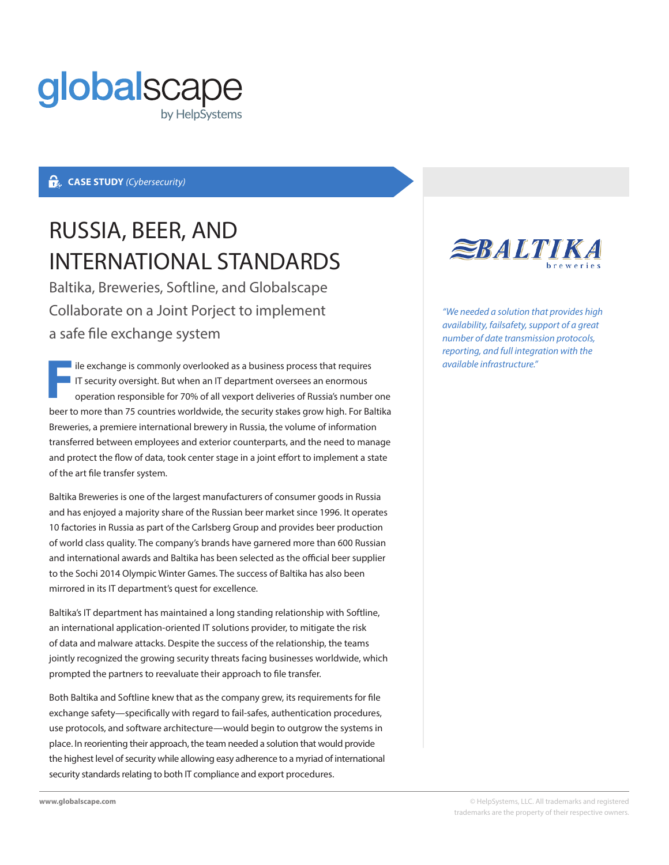

## **CASE STUDY** *(Cybersecurity)*

## RUSSIA, BEER, AND INTERNATIONAL STANDARDS

Baltika, Breweries, Softline, and Globalscape Collaborate on a Joint Porject to implement a safe file exchange system

lile exchange is commonly overlooked as a business process that requires I IT security oversight. But when an IT department oversees an enormous **i** le exchange is commonly overlooked as a business process that requires and available infrastructure."<br> **FF** IT security oversight. But when an IT department oversees an enormous operation responsible for 70% of all vex beer to more than 75 countries worldwide, the security stakes grow high. For Baltika Breweries, a premiere international brewery in Russia, the volume of information transferred between employees and exterior counterparts, and the need to manage and protect the flow of data, took center stage in a joint effort to implement a state of the art file transfer system.

Baltika Breweries is one of the largest manufacturers of consumer goods in Russia and has enjoyed a majority share of the Russian beer market since 1996. It operates 10 factories in Russia as part of the Carlsberg Group and provides beer production of world class quality. The company's brands have garnered more than 600 Russian and international awards and Baltika has been selected as the official beer supplier to the Sochi 2014 Olympic Winter Games. The success of Baltika has also been mirrored in its IT department's quest for excellence.

Baltika's IT department has maintained a long standing relationship with Softline, an international application-oriented IT solutions provider, to mitigate the risk of data and malware attacks. Despite the success of the relationship, the teams jointly recognized the growing security threats facing businesses worldwide, which prompted the partners to reevaluate their approach to file transfer.

Both Baltika and Softline knew that as the company grew, its requirements for file exchange safety—specifically with regard to fail-safes, authentication procedures, use protocols, and software architecture—would begin to outgrow the systems in place. In reorienting their approach, the team needed a solution that would provide the highest level of security while allowing easy adherence to a myriad of international security standards relating to both IT compliance and export procedures.



*"We needed a solution that provides high availability, failsafety, support of a great number of date transmission protocols, reporting, and full integration with the*